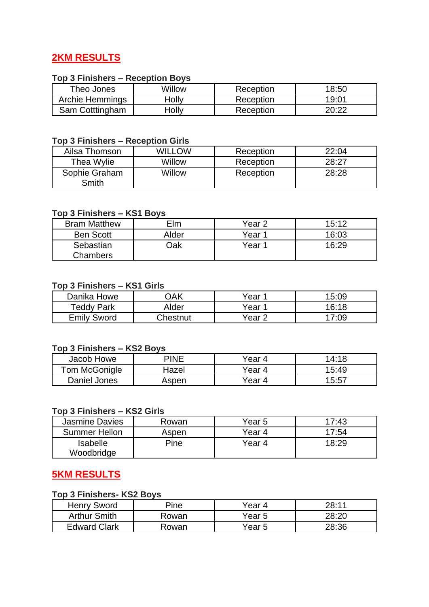## **2KM RESULTS**

## **Top 3 Finishers – Reception Boys**

| Theo Jones      | Willow | Reception | 18:50 |
|-----------------|--------|-----------|-------|
| Archie Hemmings | Holly  | Reception | 19:01 |
| Sam Cotttingham | dolly  | Reception | 20:22 |

### **Top 3 Finishers – Reception Girls**

| Ailsa Thomson          | WILLOW | Reception | 22:04 |
|------------------------|--------|-----------|-------|
| Thea Wylie             | Willow | Reception | 28:27 |
| Sophie Graham<br>Smith | Willow | Reception | 28:28 |

#### **Top 3 Finishers – KS1 Boys**

| <b>Bram Matthew</b> | Elm   | Year 2 | 15:12 |
|---------------------|-------|--------|-------|
| <b>Ben Scott</b>    | Alder | Year 1 | 16:03 |
| Sebastian           | )ak   | Year 1 | 16:29 |
| Chambers            |       |        |       |

#### **Top 3 Finishers – KS1 Girls**

| Danika Howe        | )AK      | Year   | 15:09 |
|--------------------|----------|--------|-------|
| Teddy Park         | Alder    | Year∸  | 16:18 |
| <b>Emily Sword</b> | Chestnut | Year 2 | 17:09 |

## **Top 3 Finishers – KS2 Boys**

| Jacob Howe    | PINE  | Year 4    | 14:18 |
|---------------|-------|-----------|-------|
| Tom McGonigle | Hazel | Year 4    | 15:49 |
| Daniel Jones  | Aspen | Year<br>4 | 15:57 |

### **Top 3 Finishers – KS2 Girls**

| <b>Jasmine Davies</b>         | Rowan | Year 5 | 17:43 |
|-------------------------------|-------|--------|-------|
| Summer Hellon                 | Aspen | Year 4 | 17:54 |
| <b>Isabelle</b><br>Woodbridge | Pine  | Year 4 | 18:29 |

## **5KM RESULTS**

## **Top 3 Finishers- KS2 Boys**

| Henry Sword         | Pine  | Year 4 | 28:11 |
|---------------------|-------|--------|-------|
| <b>Arthur Smith</b> | Rowan | Year 5 | 28.20 |
| <b>Edward Clark</b> | Rowan | Year 5 | 28:36 |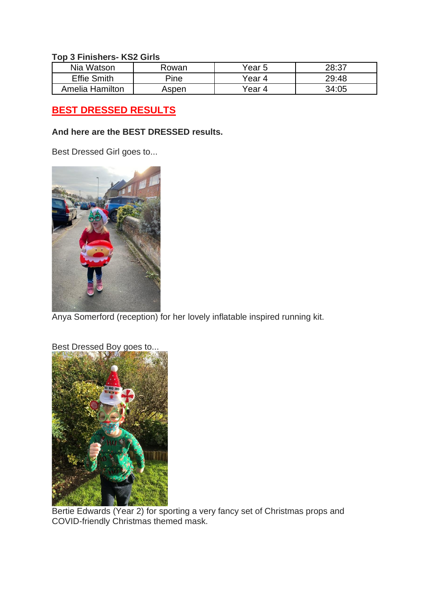#### **Top 3 Finishers- KS2 Girls**

| Nia Watson         | Rowan | Year 5 | 28:37 |
|--------------------|-------|--------|-------|
| <b>Effie Smith</b> | Pine  | Year 4 | 29:48 |
| Amelia Hamilton    | Aspen | Year 4 | 34:05 |

# **BEST DRESSED RESULTS**

#### **And here are the BEST DRESSED results.**

Best Dressed Girl goes to...



Anya Somerford (reception) for her lovely inflatable inspired running kit.



Bertie Edwards (Year 2) for sporting a very fancy set of Christmas props and COVID-friendly Christmas themed mask.